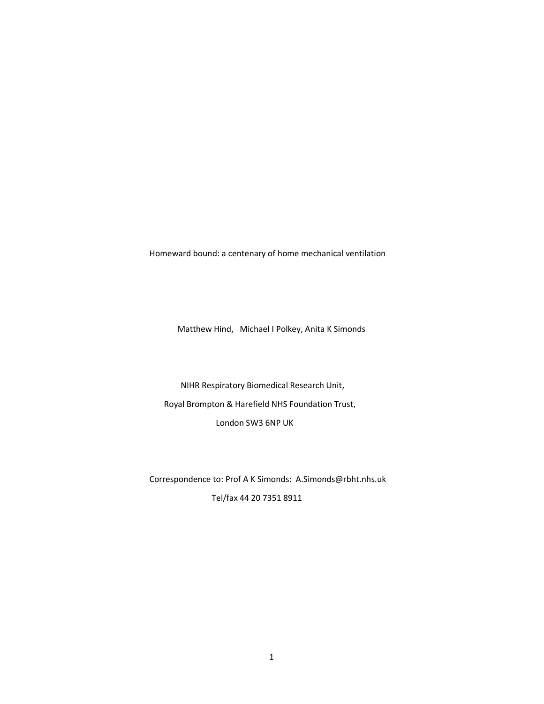Homeward bound: a centenary of home mechanical ventilation

Matthew Hind, Michael I Polkey, Anita K Simonds

 NIHR Respiratory Biomedical Research Unit, Royal Brompton & Harefield NHS Foundation Trust, London SW3 6NP UK

 Correspondence to: Prof A K Simonds: A.Simonds@rbht.nhs.uk Tel/fax 44 20 7351 8911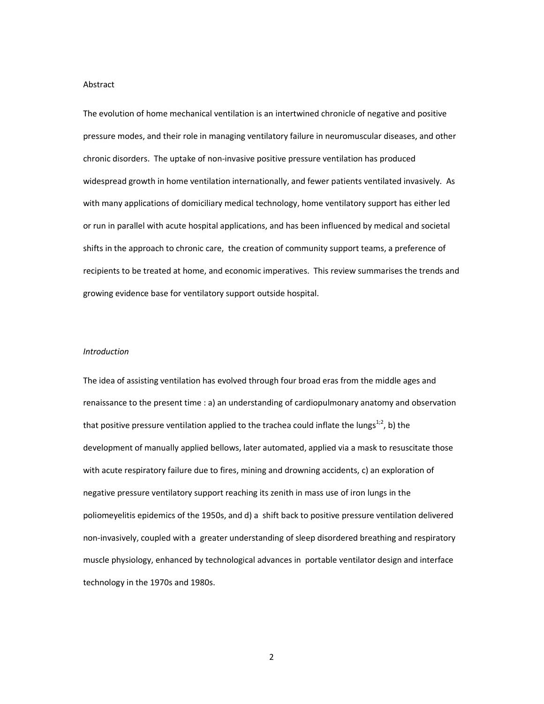#### Abstract

The evolution of home mechanical ventilation is an intertwined chronicle of negative and positive pressure modes, and their role in managing ventilatory failure in neuromuscular diseases, and other chronic disorders. The uptake of non-invasive positive pressure ventilation has produced widespread growth in home ventilation internationally, and fewer patients ventilated invasively. As with many applications of domiciliary medical technology, home ventilatory support has either led or run in parallel with acute hospital applications, and has been influenced by medical and societal shifts in the approach to chronic care, the creation of community support teams, a preference of recipients to be treated at home, and economic imperatives. This review summarises the trends and growing evidence base for ventilatory support outside hospital.

## *Introduction*

The idea of assisting ventilation has evolved through four broad eras from the middle ages and renaissance to the present time : a) an understanding of cardiopulmonary anatomy and observation that positive pressure ventilation applied to the trachea could inflate the lungs<sup>1;2</sup>, b) the development of manually applied bellows, later automated, applied via a mask to resuscitate those with acute respiratory failure due to fires, mining and drowning accidents, c) an exploration of negative pressure ventilatory support reaching its zenith in mass use of iron lungs in the poliomeyelitis epidemics of the 1950s, and d) a shift back to positive pressure ventilation delivered non-invasively, coupled with a greater understanding of sleep disordered breathing and respiratory muscle physiology, enhanced by technological advances in portable ventilator design and interface technology in the 1970s and 1980s.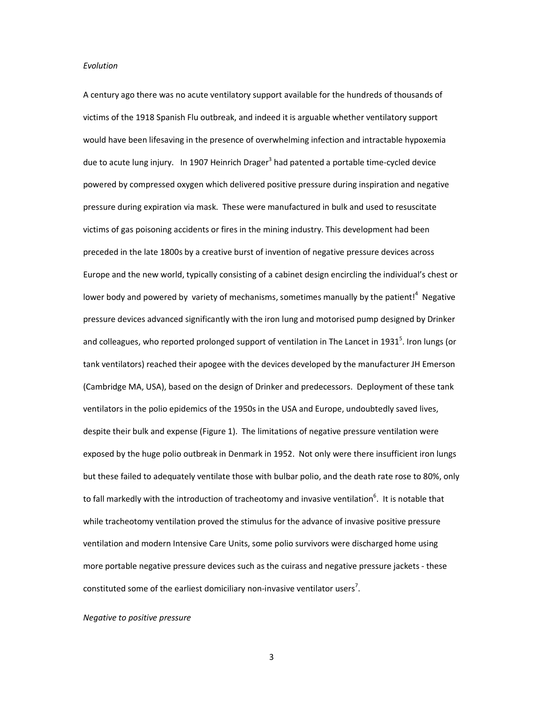### *Evolution*

A century ago there was no acute ventilatory support available for the hundreds of thousands of victims of the 1918 Spanish Flu outbreak, and indeed it is arguable whether ventilatory support would have been lifesaving in the presence of overwhelming infection and intractable hypoxemia due to acute lung injury. In 1907 Heinrich Drager<sup>3</sup> had patented a portable time-cycled device powered by compressed oxygen which delivered positive pressure during inspiration and negative pressure during expiration via mask. These were manufactured in bulk and used to resuscitate victims of gas poisoning accidents or fires in the mining industry. This development had been preceded in the late 1800s by a creative burst of invention of negative pressure devices across Europe and the new world, typically consisting of a cabinet design encircling the individual's chest or lower body and powered by variety of mechanisms, sometimes manually by the patient!<sup>4</sup> Negative pressure devices advanced significantly with the iron lung and motorised pump designed by Drinker and colleagues, who reported prolonged support of ventilation in The Lancet in 1931<sup>5</sup>. Iron lungs (or tank ventilators) reached their apogee with the devices developed by the manufacturer JH Emerson (Cambridge MA, USA), based on the design of Drinker and predecessors. Deployment of these tank ventilators in the polio epidemics of the 1950s in the USA and Europe, undoubtedly saved lives, despite their bulk and expense (Figure 1). The limitations of negative pressure ventilation were exposed by the huge polio outbreak in Denmark in 1952. Not only were there insufficient iron lungs but these failed to adequately ventilate those with bulbar polio, and the death rate rose to 80%, only to fall markedly with the introduction of tracheotomy and invasive ventilation<sup>6</sup>. It is notable that while tracheotomy ventilation proved the stimulus for the advance of invasive positive pressure ventilation and modern Intensive Care Units, some polio survivors were discharged home using more portable negative pressure devices such as the cuirass and negative pressure jackets - these constituted some of the earliest domiciliary non-invasive ventilator users<sup>7</sup>.

### *Negative to positive pressure*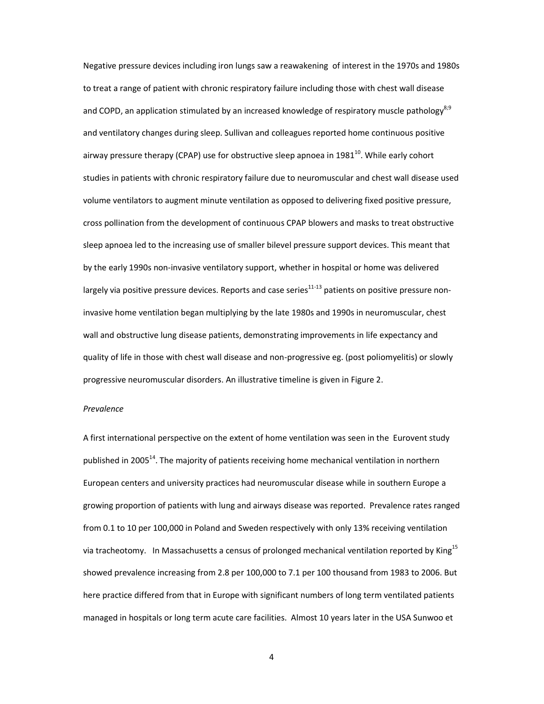Negative pressure devices including iron lungs saw a reawakening of interest in the 1970s and 1980s to treat a range of patient with chronic respiratory failure including those with chest wall disease and COPD, an application stimulated by an increased knowledge of respiratory muscle pathology<sup>8;9</sup> and ventilatory changes during sleep. Sullivan and colleagues reported home continuous positive airway pressure therapy (CPAP) use for obstructive sleep apnoea in 1981 $^{10}$ . While early cohort studies in patients with chronic respiratory failure due to neuromuscular and chest wall disease used volume ventilators to augment minute ventilation as opposed to delivering fixed positive pressure, cross pollination from the development of continuous CPAP blowers and masks to treat obstructive sleep apnoea led to the increasing use of smaller bilevel pressure support devices. This meant that by the early 1990s non-invasive ventilatory support, whether in hospital or home was delivered largely via positive pressure devices. Reports and case series $^{11-13}$  patients on positive pressure noninvasive home ventilation began multiplying by the late 1980s and 1990s in neuromuscular, chest wall and obstructive lung disease patients, demonstrating improvements in life expectancy and quality of life in those with chest wall disease and non-progressive eg. (post poliomyelitis) or slowly progressive neuromuscular disorders. An illustrative timeline is given in Figure 2.

### *Prevalence*

A first international perspective on the extent of home ventilation was seen in the Eurovent study published in 2005<sup>14</sup>. The majority of patients receiving home mechanical ventilation in northern European centers and university practices had neuromuscular disease while in southern Europe a growing proportion of patients with lung and airways disease was reported. Prevalence rates ranged from 0.1 to 10 per 100,000 in Poland and Sweden respectively with only 13% receiving ventilation via tracheotomy. In Massachusetts a census of prolonged mechanical ventilation reported by King<sup>15</sup> showed prevalence increasing from 2.8 per 100,000 to 7.1 per 100 thousand from 1983 to 2006. But here practice differed from that in Europe with significant numbers of long term ventilated patients managed in hospitals or long term acute care facilities. Almost 10 years later in the USA Sunwoo et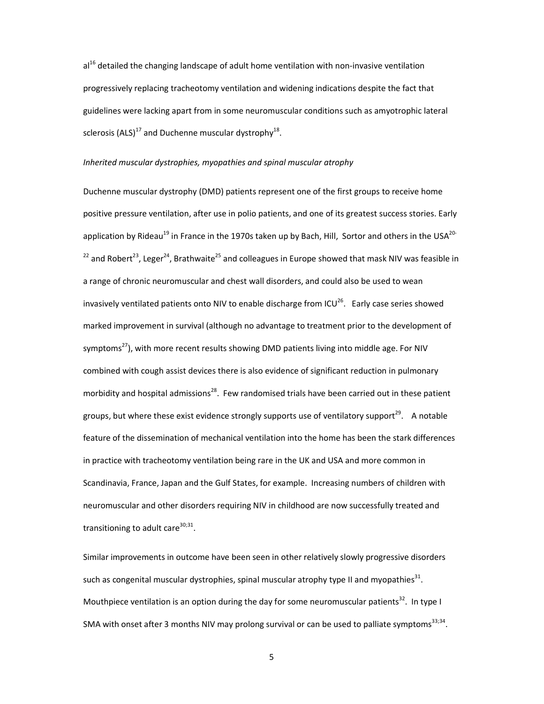$al<sup>16</sup>$  detailed the changing landscape of adult home ventilation with non-invasive ventilation progressively replacing tracheotomy ventilation and widening indications despite the fact that guidelines were lacking apart from in some neuromuscular conditions such as amyotrophic lateral sclerosis (ALS)<sup>17</sup> and Duchenne muscular dystrophy<sup>18</sup>.

## *Inherited muscular dystrophies, myopathies and spinal muscular atrophy*

Duchenne muscular dystrophy (DMD) patients represent one of the first groups to receive home positive pressure ventilation, after use in polio patients, and one of its greatest success stories. Early application by Rideau<sup>19</sup> in France in the 1970s taken up by Bach, Hill, Sortor and others in the USA<sup>20-</sup>  $^{22}$  and Robert<sup>23</sup>, Leger<sup>24</sup>, Brathwaite<sup>25</sup> and colleagues in Europe showed that mask NIV was feasible in a range of chronic neuromuscular and chest wall disorders, and could also be used to wean invasively ventilated patients onto NIV to enable discharge from ICU $^{26}$ . Early case series showed marked improvement in survival (although no advantage to treatment prior to the development of symptoms<sup>27</sup>), with more recent results showing DMD patients living into middle age. For NIV combined with cough assist devices there is also evidence of significant reduction in pulmonary morbidity and hospital admissions<sup>28</sup>. Few randomised trials have been carried out in these patient groups, but where these exist evidence strongly supports use of ventilatory support<sup>29</sup>. A notable feature of the dissemination of mechanical ventilation into the home has been the stark differences in practice with tracheotomy ventilation being rare in the UK and USA and more common in Scandinavia, France, Japan and the Gulf States, for example. Increasing numbers of children with neuromuscular and other disorders requiring NIV in childhood are now successfully treated and transitioning to adult care $^{30,31}$ .

Similar improvements in outcome have been seen in other relatively slowly progressive disorders such as congenital muscular dystrophies, spinal muscular atrophy type II and myopathies<sup>31</sup>. Mouthpiece ventilation is an option during the day for some neuromuscular patients<sup>32</sup>. In type I SMA with onset after 3 months NIV may prolong survival or can be used to palliate symptoms<sup>33;34</sup>.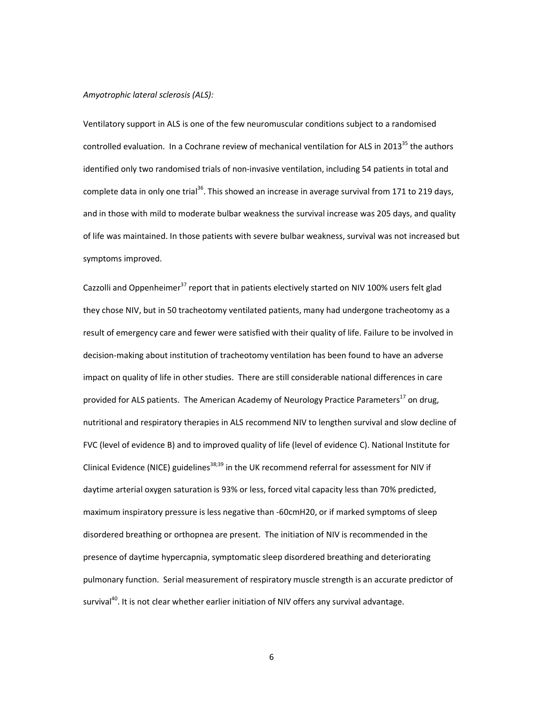# *Amyotrophic lateral sclerosis (ALS):*

Ventilatory support in ALS is one of the few neuromuscular conditions subject to a randomised controlled evaluation. In a Cochrane review of mechanical ventilation for ALS in 2013 $^{35}$  the authors identified only two randomised trials of non-invasive ventilation, including 54 patients in total and complete data in only one trial<sup>36</sup>. This showed an increase in average survival from 171 to 219 days, and in those with mild to moderate bulbar weakness the survival increase was 205 days, and quality of life was maintained. In those patients with severe bulbar weakness, survival was not increased but symptoms improved.

Cazzolli and Oppenheimer<sup>37</sup> report that in patients electively started on NIV 100% users felt glad they chose NIV, but in 50 tracheotomy ventilated patients, many had undergone tracheotomy as a result of emergency care and fewer were satisfied with their quality of life. Failure to be involved in decision-making about institution of tracheotomy ventilation has been found to have an adverse impact on quality of life in other studies. There are still considerable national differences in care provided for ALS patients. The American Academy of Neurology Practice Parameters<sup>17</sup> on drug, nutritional and respiratory therapies in ALS recommend NIV to lengthen survival and slow decline of FVC (level of evidence B) and to improved quality of life (level of evidence C). National Institute for Clinical Evidence (NICE) guidelines<sup>38;39</sup> in the UK recommend referral for assessment for NIV if daytime arterial oxygen saturation is 93% or less, forced vital capacity less than 70% predicted, maximum inspiratory pressure is less negative than -60cmH20, or if marked symptoms of sleep disordered breathing or orthopnea are present. The initiation of NIV is recommended in the presence of daytime hypercapnia, symptomatic sleep disordered breathing and deteriorating pulmonary function. Serial measurement of respiratory muscle strength is an accurate predictor of survival<sup>40</sup>. It is not clear whether earlier initiation of NIV offers any survival advantage.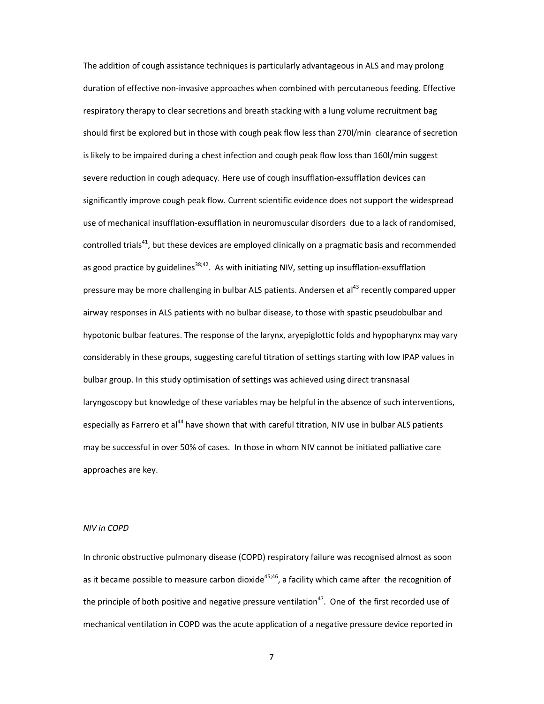The addition of cough assistance techniques is particularly advantageous in ALS and may prolong duration of effective non-invasive approaches when combined with percutaneous feeding. Effective respiratory therapy to clear secretions and breath stacking with a lung volume recruitment bag should first be explored but in those with cough peak flow less than 270l/min clearance of secretion is likely to be impaired during a chest infection and cough peak flow loss than 160l/min suggest severe reduction in cough adequacy. Here use of cough insufflation-exsufflation devices can significantly improve cough peak flow. Current scientific evidence does not support the widespread use of mechanical insufflation-exsufflation in neuromuscular disorders due to a lack of randomised, controlled trials<sup>41</sup>, but these devices are employed clinically on a pragmatic basis and recommended as good practice by guidelines<sup>38;42</sup>. As with initiating NIV, setting up insufflation-exsufflation pressure may be more challenging in bulbar ALS patients. Andersen et al<sup>43</sup> recently compared upper airway responses in ALS patients with no bulbar disease, to those with spastic pseudobulbar and hypotonic bulbar features. The response of the larynx, aryepiglottic folds and hypopharynx may vary considerably in these groups, suggesting careful titration of settings starting with low IPAP values in bulbar group. In this study optimisation of settings was achieved using direct transnasal laryngoscopy but knowledge of these variables may be helpful in the absence of such interventions, especially as Farrero et al<sup>44</sup> have shown that with careful titration, NIV use in bulbar ALS patients may be successful in over 50% of cases. In those in whom NIV cannot be initiated palliative care approaches are key.

# *NIV in COPD*

In chronic obstructive pulmonary disease (COPD) respiratory failure was recognised almost as soon as it became possible to measure carbon dioxide<sup>45;46</sup>, a facility which came after the recognition of the principle of both positive and negative pressure ventilation<sup>47</sup>. One of the first recorded use of mechanical ventilation in COPD was the acute application of a negative pressure device reported in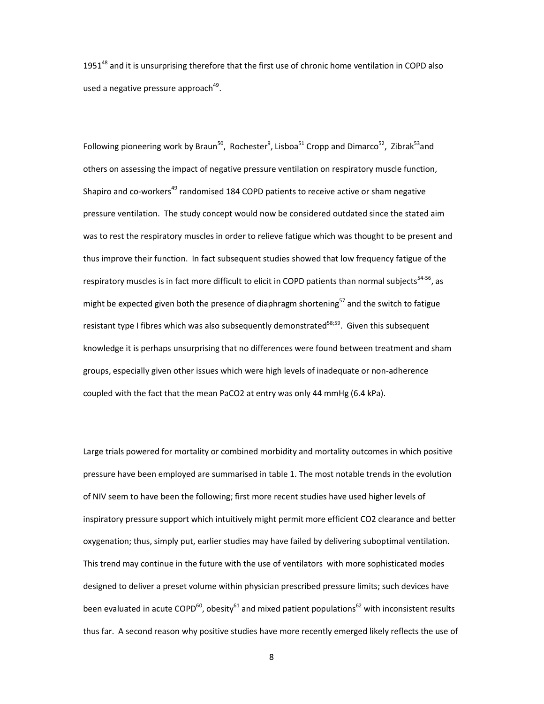1951<sup>48</sup> and it is unsurprising therefore that the first use of chronic home ventilation in COPD also used a negative pressure approach<sup>49</sup>.

Following pioneering work by Braun<sup>50</sup>, Rochester<sup>9</sup>, Lisboa<sup>51</sup> Cropp and Dimarco<sup>52</sup>, Zibrak<sup>53</sup>and others on assessing the impact of negative pressure ventilation on respiratory muscle function, Shapiro and co-workers<sup>49</sup> randomised 184 COPD patients to receive active or sham negative pressure ventilation. The study concept would now be considered outdated since the stated aim was to rest the respiratory muscles in order to relieve fatigue which was thought to be present and thus improve their function. In fact subsequent studies showed that low frequency fatigue of the respiratory muscles is in fact more difficult to elicit in COPD patients than normal subjects<sup>54-56</sup>, as might be expected given both the presence of diaphragm shortening<sup>57</sup> and the switch to fatigue resistant type I fibres which was also subsequently demonstrated<sup>58;59</sup>. Given this subsequent knowledge it is perhaps unsurprising that no differences were found between treatment and sham groups, especially given other issues which were high levels of inadequate or non-adherence coupled with the fact that the mean PaCO2 at entry was only 44 mmHg (6.4 kPa).

Large trials powered for mortality or combined morbidity and mortality outcomes in which positive pressure have been employed are summarised in table 1. The most notable trends in the evolution of NIV seem to have been the following; first more recent studies have used higher levels of inspiratory pressure support which intuitively might permit more efficient CO2 clearance and better oxygenation; thus, simply put, earlier studies may have failed by delivering suboptimal ventilation. This trend may continue in the future with the use of ventilators with more sophisticated modes designed to deliver a preset volume within physician prescribed pressure limits; such devices have been evaluated in acute COPD<sup>60</sup>, obesity<sup>61</sup> and mixed patient populations<sup>62</sup> with inconsistent results thus far. A second reason why positive studies have more recently emerged likely reflects the use of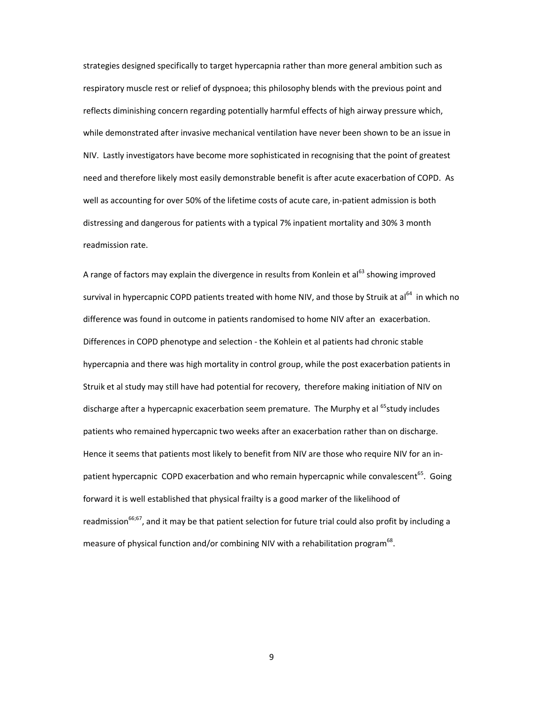strategies designed specifically to target hypercapnia rather than more general ambition such as respiratory muscle rest or relief of dyspnoea; this philosophy blends with the previous point and reflects diminishing concern regarding potentially harmful effects of high airway pressure which, while demonstrated after invasive mechanical ventilation have never been shown to be an issue in NIV. Lastly investigators have become more sophisticated in recognising that the point of greatest need and therefore likely most easily demonstrable benefit is after acute exacerbation of COPD. As well as accounting for over 50% of the lifetime costs of acute care, in-patient admission is both distressing and dangerous for patients with a typical 7% inpatient mortality and 30% 3 month readmission rate.

A range of factors may explain the divergence in results from Konlein et al<sup>63</sup> showing improved survival in hypercapnic COPD patients treated with home NIV, and those by Struik at al<sup>64</sup> in which no difference was found in outcome in patients randomised to home NIV after an exacerbation. Differences in COPD phenotype and selection - the Kohlein et al patients had chronic stable hypercapnia and there was high mortality in control group, while the post exacerbation patients in Struik et al study may still have had potential for recovery, therefore making initiation of NIV on discharge after a hypercapnic exacerbation seem premature. The Murphy et al <sup>65</sup>study includes patients who remained hypercapnic two weeks after an exacerbation rather than on discharge. Hence it seems that patients most likely to benefit from NIV are those who require NIV for an inpatient hypercapnic COPD exacerbation and who remain hypercapnic while convalescent<sup>65</sup>. Going forward it is well established that physical frailty is a good marker of the likelihood of readmission<sup>66;67</sup>, and it may be that patient selection for future trial could also profit by including a measure of physical function and/or combining NIV with a rehabilitation program<sup>68</sup>.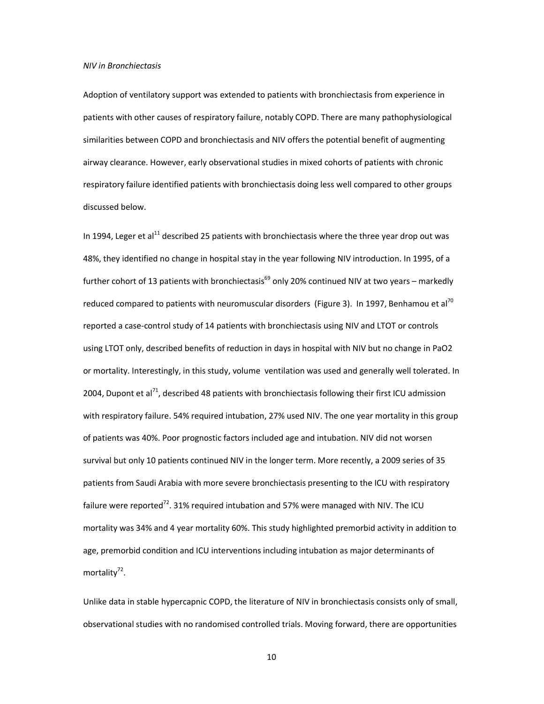### *NIV in Bronchiectasis*

Adoption of ventilatory support was extended to patients with bronchiectasis from experience in patients with other causes of respiratory failure, notably COPD. There are many pathophysiological similarities between COPD and bronchiectasis and NIV offers the potential benefit of augmenting airway clearance. However, early observational studies in mixed cohorts of patients with chronic respiratory failure identified patients with bronchiectasis doing less well compared to other groups discussed below.

In 1994, Leger et al $^{11}$  described 25 patients with bronchiectasis where the three year drop out was 48%, they identified no change in hospital stay in the year following NIV introduction. In 1995, of a further cohort of 13 patients with bronchiectasis<sup>69</sup> only 20% continued NIV at two years – markedly reduced compared to patients with neuromuscular disorders (Figure 3). In 1997, Benhamou et al<sup>70</sup> reported a case-control study of 14 patients with bronchiectasis using NIV and LTOT or controls using LTOT only, described benefits of reduction in days in hospital with NIV but no change in PaO2 or mortality. Interestingly, in this study, volume ventilation was used and generally well tolerated. In 2004, Dupont et al<sup>71</sup>, described 48 patients with bronchiectasis following their first ICU admission with respiratory failure. 54% required intubation, 27% used NIV. The one year mortality in this group of patients was 40%. Poor prognostic factors included age and intubation. NIV did not worsen survival but only 10 patients continued NIV in the longer term. More recently, a 2009 series of 35 patients from Saudi Arabia with more severe bronchiectasis presenting to the ICU with respiratory failure were reported<sup>72</sup>. 31% required intubation and 57% were managed with NIV. The ICU mortality was 34% and 4 year mortality 60%. This study highlighted premorbid activity in addition to age, premorbid condition and ICU interventions including intubation as major determinants of mortality<sup>72</sup>.

Unlike data in stable hypercapnic COPD, the literature of NIV in bronchiectasis consists only of small, observational studies with no randomised controlled trials. Moving forward, there are opportunities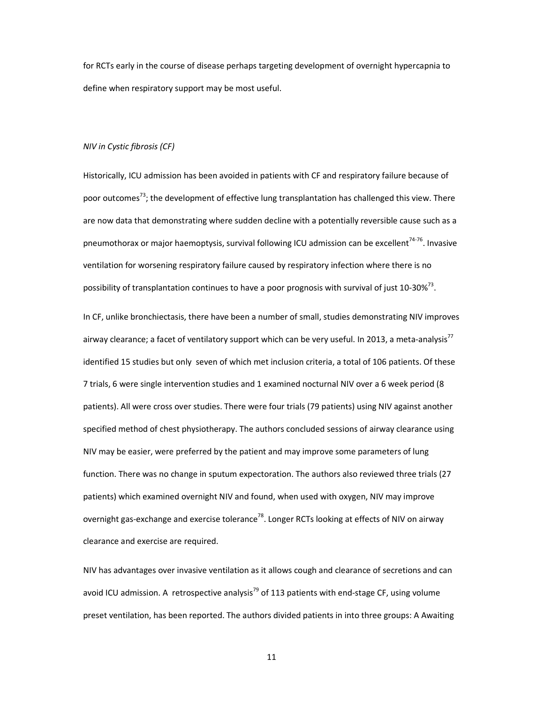for RCTs early in the course of disease perhaps targeting development of overnight hypercapnia to define when respiratory support may be most useful.

# *NIV in Cystic fibrosis (CF)*

Historically, ICU admission has been avoided in patients with CF and respiratory failure because of poor outcomes<sup>73</sup>; the development of effective lung transplantation has challenged this view. There are now data that demonstrating where sudden decline with a potentially reversible cause such as a pneumothorax or major haemoptysis, survival following ICU admission can be excellent<sup>74-76</sup>. Invasive ventilation for worsening respiratory failure caused by respiratory infection where there is no possibility of transplantation continues to have a poor prognosis with survival of just 10-30%<sup>73</sup>.

In CF, unlike bronchiectasis, there have been a number of small, studies demonstrating NIV improves airway clearance; a facet of ventilatory support which can be very useful. In 2013, a meta-analysis<sup>77</sup> identified 15 studies but only seven of which met inclusion criteria, a total of 106 patients. Of these 7 trials, 6 were single intervention studies and 1 examined nocturnal NIV over a 6 week period (8 patients). All were cross over studies. There were four trials (79 patients) using NIV against another specified method of chest physiotherapy. The authors concluded sessions of airway clearance using NIV may be easier, were preferred by the patient and may improve some parameters of lung function. There was no change in sputum expectoration. The authors also reviewed three trials (27 patients) which examined overnight NIV and found, when used with oxygen, NIV may improve overnight gas-exchange and exercise tolerance<sup>78</sup>. Longer RCTs looking at effects of NIV on airway clearance and exercise are required.

NIV has advantages over invasive ventilation as it allows cough and clearance of secretions and can avoid ICU admission. A retrospective analysis<sup>79</sup> of 113 patients with end-stage CF, using volume preset ventilation, has been reported. The authors divided patients in into three groups: A Awaiting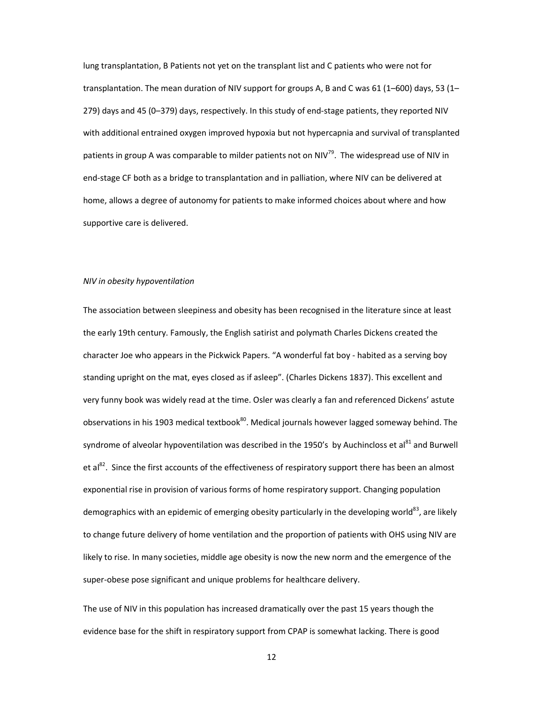lung transplantation, B Patients not yet on the transplant list and C patients who were not for transplantation. The mean duration of NIV support for groups A, B and C was 61 (1–600) days, 53 (1– 279) days and 45 (0–379) days, respectively. In this study of end-stage patients, they reported NIV with additional entrained oxygen improved hypoxia but not hypercapnia and survival of transplanted patients in group A was comparable to milder patients not on NIV<sup>79</sup>. The widespread use of NIV in end-stage CF both as a bridge to transplantation and in palliation, where NIV can be delivered at home, allows a degree of autonomy for patients to make informed choices about where and how supportive care is delivered.

### *NIV in obesity hypoventilation*

The association between sleepiness and obesity has been recognised in the literature since at least the early 19th century. Famously, the English satirist and polymath Charles Dickens created the character Joe who appears in the Pickwick Papers. "A wonderful fat boy - habited as a serving boy standing upright on the mat, eyes closed as if asleep". (Charles Dickens 1837). This excellent and very funny book was widely read at the time. Osler was clearly a fan and referenced Dickens' astute observations in his 1903 medical textbook<sup>80</sup>. Medical journals however lagged someway behind. The syndrome of alveolar hypoventilation was described in the 1950's by Auchincloss et al<sup>81</sup> and Burwell et al<sup>82</sup>. Since the first accounts of the effectiveness of respiratory support there has been an almost exponential rise in provision of various forms of home respiratory support. Changing population demographics with an epidemic of emerging obesity particularly in the developing world<sup>83</sup>, are likely to change future delivery of home ventilation and the proportion of patients with OHS using NIV are likely to rise. In many societies, middle age obesity is now the new norm and the emergence of the super-obese pose significant and unique problems for healthcare delivery.

The use of NIV in this population has increased dramatically over the past 15 years though the evidence base for the shift in respiratory support from CPAP is somewhat lacking. There is good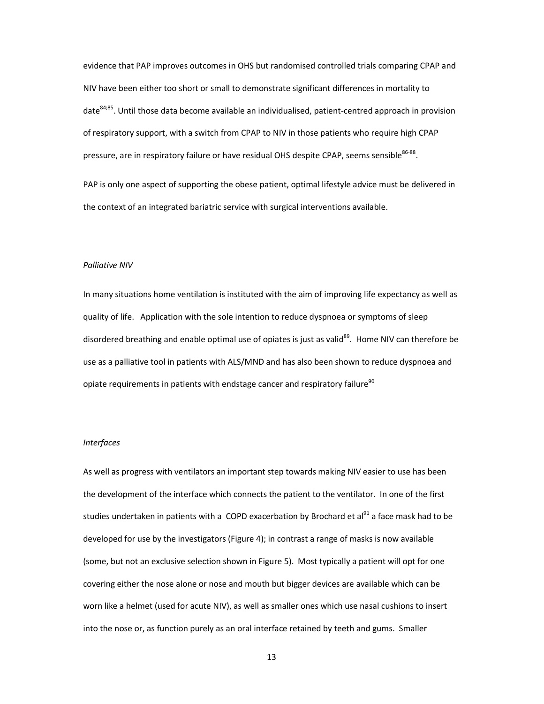evidence that PAP improves outcomes in OHS but randomised controlled trials comparing CPAP and NIV have been either too short or small to demonstrate significant differences in mortality to date<sup>84;85</sup>. Until those data become available an individualised, patient-centred approach in provision of respiratory support, with a switch from CPAP to NIV in those patients who require high CPAP pressure, are in respiratory failure or have residual OHS despite CPAP, seems sensible<sup>86-88</sup>.

PAP is only one aspect of supporting the obese patient, optimal lifestyle advice must be delivered in the context of an integrated bariatric service with surgical interventions available.

# *Palliative NIV*

In many situations home ventilation is instituted with the aim of improving life expectancy as well as quality of life. Application with the sole intention to reduce dyspnoea or symptoms of sleep disordered breathing and enable optimal use of opiates is just as valid<sup>89</sup>. Home NIV can therefore be use as a palliative tool in patients with ALS/MND and has also been shown to reduce dyspnoea and opiate requirements in patients with endstage cancer and respiratory failure $^{90}$ 

## *Interfaces*

As well as progress with ventilators an important step towards making NIV easier to use has been the development of the interface which connects the patient to the ventilator. In one of the first studies undertaken in patients with a COPD exacerbation by Brochard et al<sup>91</sup> a face mask had to be developed for use by the investigators (Figure 4); in contrast a range of masks is now available (some, but not an exclusive selection shown in Figure 5). Most typically a patient will opt for one covering either the nose alone or nose and mouth but bigger devices are available which can be worn like a helmet (used for acute NIV), as well as smaller ones which use nasal cushions to insert into the nose or, as function purely as an oral interface retained by teeth and gums. Smaller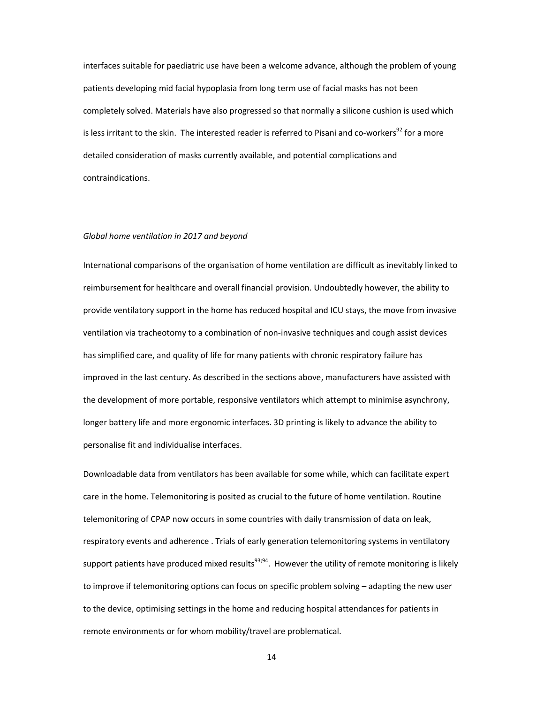interfaces suitable for paediatric use have been a welcome advance, although the problem of young patients developing mid facial hypoplasia from long term use of facial masks has not been completely solved. Materials have also progressed so that normally a silicone cushion is used which is less irritant to the skin. The interested reader is referred to Pisani and co-workers<sup>92</sup> for a more detailed consideration of masks currently available, and potential complications and contraindications.

## *Global home ventilation in 2017 and beyond*

International comparisons of the organisation of home ventilation are difficult as inevitably linked to reimbursement for healthcare and overall financial provision. Undoubtedly however, the ability to provide ventilatory support in the home has reduced hospital and ICU stays, the move from invasive ventilation via tracheotomy to a combination of non-invasive techniques and cough assist devices has simplified care, and quality of life for many patients with chronic respiratory failure has improved in the last century. As described in the sections above, manufacturers have assisted with the development of more portable, responsive ventilators which attempt to minimise asynchrony, longer battery life and more ergonomic interfaces. 3D printing is likely to advance the ability to personalise fit and individualise interfaces.

Downloadable data from ventilators has been available for some while, which can facilitate expert care in the home. Telemonitoring is posited as crucial to the future of home ventilation. Routine telemonitoring of CPAP now occurs in some countries with daily transmission of data on leak, respiratory events and adherence . Trials of early generation telemonitoring systems in ventilatory support patients have produced mixed results<sup>93;94</sup>. However the utility of remote monitoring is likely to improve if telemonitoring options can focus on specific problem solving – adapting the new user to the device, optimising settings in the home and reducing hospital attendances for patients in remote environments or for whom mobility/travel are problematical.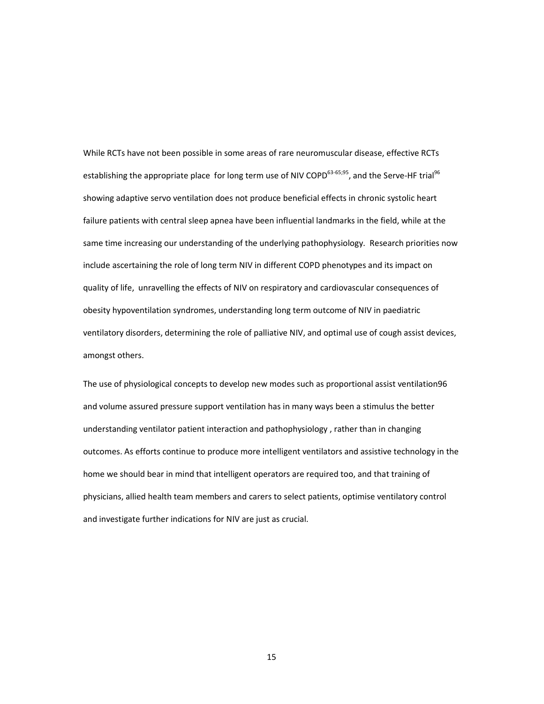While RCTs have not been possible in some areas of rare neuromuscular disease, effective RCTs establishing the appropriate place for long term use of NIV COPD<sup>63-65;95</sup>, and the Serve-HF trial<sup>96</sup> showing adaptive servo ventilation does not produce beneficial effects in chronic systolic heart failure patients with central sleep apnea have been influential landmarks in the field, while at the same time increasing our understanding of the underlying pathophysiology. Research priorities now include ascertaining the role of long term NIV in different COPD phenotypes and its impact on quality of life, unravelling the effects of NIV on respiratory and cardiovascular consequences of obesity hypoventilation syndromes, understanding long term outcome of NIV in paediatric ventilatory disorders, determining the role of palliative NIV, and optimal use of cough assist devices, amongst others.

The use of physiological concepts to develop new modes such as proportional assist ventilation96 and volume assured pressure support ventilation has in many ways been a stimulus the better understanding ventilator patient interaction and pathophysiology , rather than in changing outcomes. As efforts continue to produce more intelligent ventilators and assistive technology in the home we should bear in mind that intelligent operators are required too, and that training of physicians, allied health team members and carers to select patients, optimise ventilatory control and investigate further indications for NIV are just as crucial.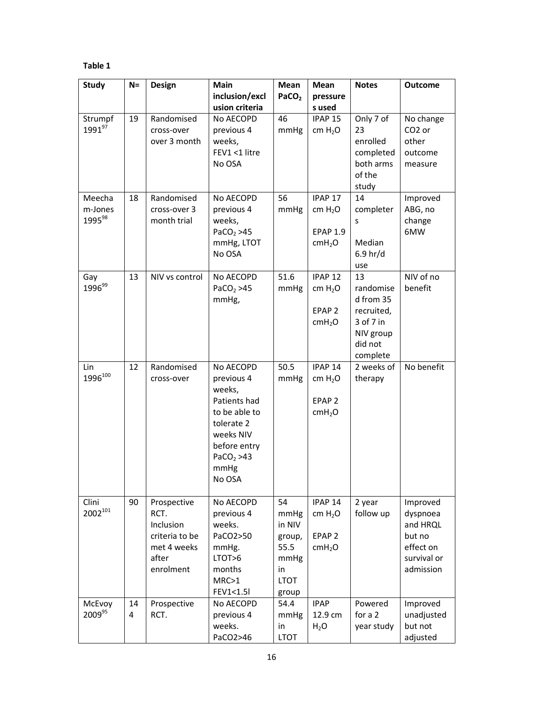# **Table 1**

| <b>Study</b>                            | $N =$   | Design                                                                                  | Main                                                                                                                                                      | Mean                                                                         | Mean                                                                                 | <b>Notes</b>                                                                                | <b>Outcome</b>                                                                      |
|-----------------------------------------|---------|-----------------------------------------------------------------------------------------|-----------------------------------------------------------------------------------------------------------------------------------------------------------|------------------------------------------------------------------------------|--------------------------------------------------------------------------------------|---------------------------------------------------------------------------------------------|-------------------------------------------------------------------------------------|
|                                         |         |                                                                                         | inclusion/excl                                                                                                                                            | PaCO <sub>2</sub>                                                            | pressure                                                                             |                                                                                             |                                                                                     |
|                                         |         |                                                                                         | usion criteria                                                                                                                                            |                                                                              | s used                                                                               |                                                                                             |                                                                                     |
| Strumpf<br>$1991^{97}$                  | 19      | Randomised<br>cross-over<br>over 3 month                                                | No AECOPD<br>previous 4<br>weeks,<br>FEV1 <1 litre<br>No OSA                                                                                              | 46<br>mmHg                                                                   | IPAP <sub>15</sub><br>cm H <sub>2</sub> O                                            | Only 7 of<br>23<br>enrolled<br>completed<br>both arms<br>of the<br>study                    | No change<br>CO <sub>2</sub> or<br>other<br>outcome<br>measure                      |
| Meecha<br>m-Jones<br>1995 <sup>98</sup> | 18      | Randomised<br>cross-over 3<br>month trial                                               | No AECOPD<br>previous 4<br>weeks,<br>PaCO <sub>2</sub> > 45<br>mmHg, LTOT<br>No OSA                                                                       | 56<br>mmHg                                                                   | IPAP <sub>17</sub><br>cm $H_2O$<br><b>EPAP 1.9</b><br>cmH <sub>2</sub> O             | 14<br>completer<br>s<br>Median<br>6.9 <sub>hr</sub> /d<br>use                               | Improved<br>ABG, no<br>change<br>6MW                                                |
| Gay<br>1996 <sup>99</sup>               | 13      | NIV vs control                                                                          | No AECOPD<br>PaCO <sub>2</sub> > 45<br>mmHg,                                                                                                              | 51.6<br>mmHg                                                                 | IPAP <sub>12</sub><br>cm H <sub>2</sub> O<br>EPAP <sub>2</sub><br>cmH <sub>2</sub> O | 13<br>randomise<br>d from 35<br>recruited,<br>3 of 7 in<br>NIV group<br>did not<br>complete | NIV of no<br>benefit                                                                |
| Lin<br>1996 <sup>100</sup>              | 12      | Randomised<br>cross-over                                                                | No AECOPD<br>previous 4<br>weeks,<br>Patients had<br>to be able to<br>tolerate 2<br>weeks NIV<br>before entry<br>PaCO <sub>2</sub> > 43<br>mmHg<br>No OSA | 50.5<br>mmHg                                                                 | IPAP <sub>14</sub><br>cm H <sub>2</sub> O<br>EPAP <sub>2</sub><br>cmH <sub>2</sub> O | 2 weeks of<br>therapy                                                                       | No benefit                                                                          |
| Clini<br>$2002^{101}$                   | 90      | Prospective<br>RCT.<br>Inclusion<br>criteria to be<br>met 4 weeks<br>after<br>enrolment | No AECOPD<br>previous 4<br>weeks.<br>PaCO2>50<br>mmHg.<br>LTOT>6<br>months<br>MRC>1<br>FEV1<1.5                                                           | 54<br>mmHg<br>in NIV<br>group,<br>55.5<br>mmHg<br>in<br><b>LTOT</b><br>group | IPAP <sub>14</sub><br>cm $H_2O$<br>EPAP <sub>2</sub><br>cmH <sub>2</sub> O           | 2 year<br>follow up                                                                         | Improved<br>dyspnoea<br>and HRQL<br>but no<br>effect on<br>survival or<br>admission |
| McEvoy<br>2009 <sup>95</sup>            | 14<br>4 | Prospective<br>RCT.                                                                     | No AECOPD<br>previous 4<br>weeks.<br>PaCO2>46                                                                                                             | 54.4<br>mmHg<br>in<br><b>LTOT</b>                                            | <b>IPAP</b><br>12.9 cm<br>$H_2O$                                                     | Powered<br>for a 2<br>year study                                                            | Improved<br>unadjusted<br>but not<br>adjusted                                       |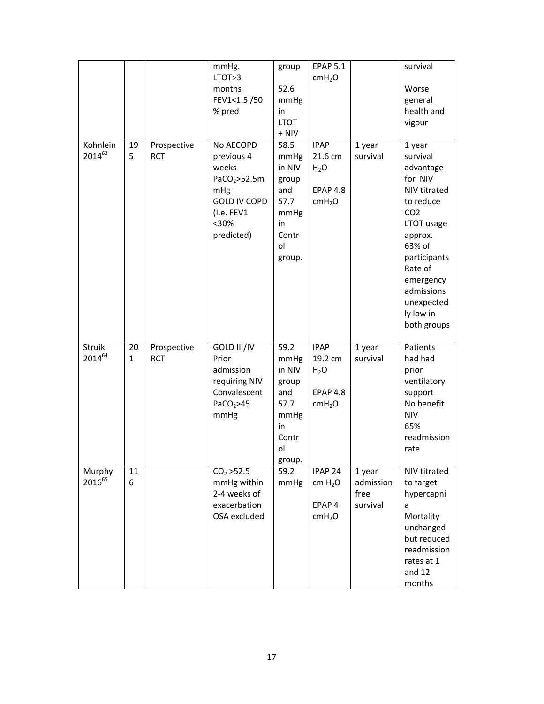|                         |                    |                           | mmHg.<br>LTOT>3<br>months<br>FEV1<1.5l/50<br>% pred                                                                             | group<br>52.6<br>mmHg<br>in<br><b>LTOT</b><br>$+$ NIV                                 | <b>EPAP 5.1</b><br>cmH <sub>2</sub> O                                     |                                         | survival<br>Worse<br>general<br>health and<br>vigour                                                                                                                                                                          |
|-------------------------|--------------------|---------------------------|---------------------------------------------------------------------------------------------------------------------------------|---------------------------------------------------------------------------------------|---------------------------------------------------------------------------|-----------------------------------------|-------------------------------------------------------------------------------------------------------------------------------------------------------------------------------------------------------------------------------|
| Kohnlein<br>$2014^{63}$ | 19<br>5            | Prospective<br><b>RCT</b> | No AECOPD<br>previous 4<br>weeks<br>PaCO <sub>2</sub> >52.5m<br>mHg<br><b>GOLD IV COPD</b><br>(I.e. FEV1<br>$30%$<br>predicted) | 58.5<br>mmHg<br>in NIV<br>group<br>and<br>57.7<br>mmHg<br>in<br>Contr<br>οl<br>group. | <b>IPAP</b><br>21.6 cm<br>$H_2O$<br><b>EPAP 4.8</b><br>cmH <sub>2</sub> O | 1 year<br>survival                      | 1 year<br>survival<br>advantage<br>for NIV<br>NIV titrated<br>to reduce<br>CO <sub>2</sub><br>LTOT usage<br>approx.<br>63% of<br>participants<br>Rate of<br>emergency<br>admissions<br>unexpected<br>ly low in<br>both groups |
| <b>Struik</b><br>201464 | 20<br>$\mathbf{1}$ | Prospective<br><b>RCT</b> | GOLD III/IV<br>Prior<br>admission<br>requiring NIV<br>Convalescent<br>PaCO <sub>2</sub> >45<br>mmHg                             | 59.2<br>mmHg<br>in NIV<br>group<br>and<br>57.7<br>mmHg<br>in<br>Contr<br>ol<br>group. | <b>IPAP</b><br>19.2 cm<br>$H_2O$<br><b>EPAP 4.8</b><br>cmH <sub>2</sub> O | 1 year<br>survival                      | Patients<br>had had<br>prior<br>ventilatory<br>support<br>No benefit<br><b>NIV</b><br>65%<br>readmission<br>rate                                                                                                              |
| Murphy<br>201665        | 11<br>6            |                           | CO <sub>2</sub> > 52.5<br>mmHg within<br>2-4 weeks of<br>exacerbation<br>OSA excluded                                           | 59.2<br>mmHg                                                                          | IPAP <sub>24</sub><br>cm H <sub>2</sub> O<br>EPAP 4<br>cmH <sub>2</sub> O | 1 year<br>admission<br>free<br>survival | NIV titrated<br>to target<br>hypercapni<br>a<br>Mortality<br>unchanged<br>but reduced<br>readmission<br>rates at 1<br>and 12<br>months                                                                                        |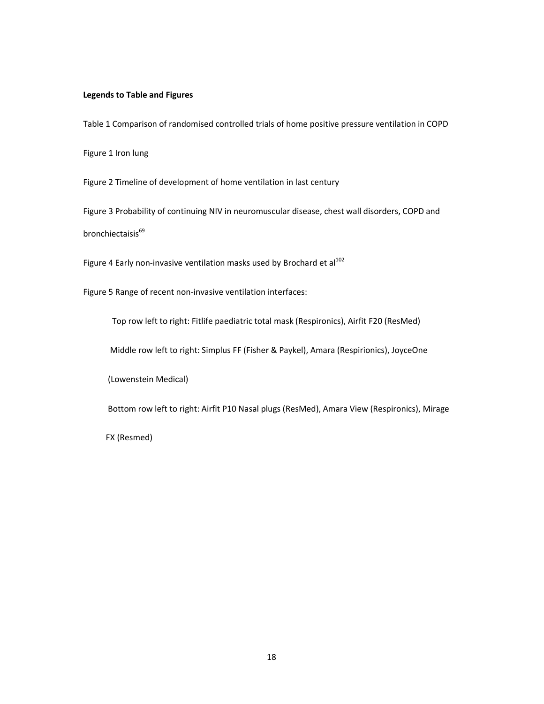# **Legends to Table and Figures**

Table 1 Comparison of randomised controlled trials of home positive pressure ventilation in COPD

Figure 1 Iron lung

Figure 2 Timeline of development of home ventilation in last century

Figure 3 Probability of continuing NIV in neuromuscular disease, chest wall disorders, COPD and bronchiectaisis<sup>69</sup>

Figure 4 Early non-invasive ventilation masks used by Brochard et al<sup>102</sup>

Figure 5 Range of recent non-invasive ventilation interfaces:

Top row left to right: Fitlife paediatric total mask (Respironics), Airfit F20 (ResMed)

Middle row left to right: Simplus FF (Fisher & Paykel), Amara (Respirionics), JoyceOne

(Lowenstein Medical)

Bottom row left to right: Airfit P10 Nasal plugs (ResMed), Amara View (Respironics), Mirage

FX (Resmed)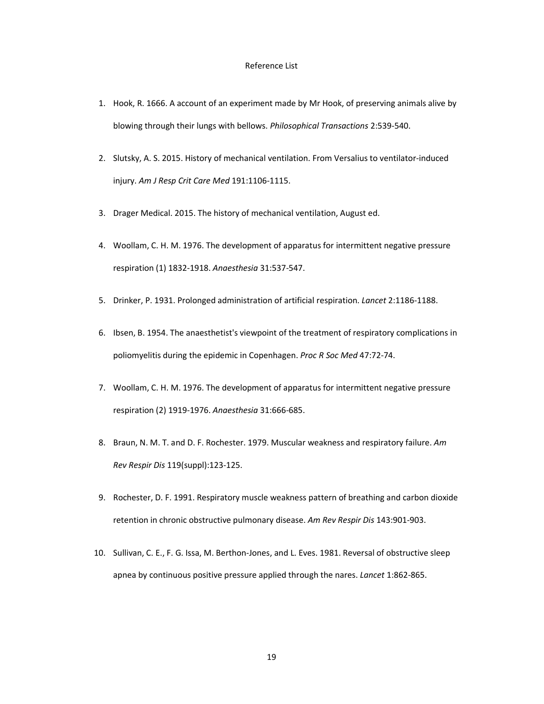#### Reference List

- 1. Hook, R. 1666. A account of an experiment made by Mr Hook, of preserving animals alive by blowing through their lungs with bellows. *Philosophical Transactions* 2:539-540.
- 2. Slutsky, A. S. 2015. History of mechanical ventilation. From Versalius to ventilator-induced injury. *Am J Resp Crit Care Med* 191:1106-1115.
- 3. Drager Medical. 2015. The history of mechanical ventilation, August ed.
- 4. Woollam, C. H. M. 1976. The development of apparatus for intermittent negative pressure respiration (1) 1832-1918. *Anaesthesia* 31:537-547.
- 5. Drinker, P. 1931. Prolonged administration of artificial respiration. *Lancet* 2:1186-1188.
- 6. Ibsen, B. 1954. The anaesthetist's viewpoint of the treatment of respiratory complications in poliomyelitis during the epidemic in Copenhagen. *Proc R Soc Med* 47:72-74.
- 7. Woollam, C. H. M. 1976. The development of apparatus for intermittent negative pressure respiration (2) 1919-1976. *Anaesthesia* 31:666-685.
- 8. Braun, N. M. T. and D. F. Rochester. 1979. Muscular weakness and respiratory failure. *Am Rev Respir Dis* 119(suppl):123-125.
- 9. Rochester, D. F. 1991. Respiratory muscle weakness pattern of breathing and carbon dioxide retention in chronic obstructive pulmonary disease. *Am Rev Respir Dis* 143:901-903.
- 10. Sullivan, C. E., F. G. Issa, M. Berthon-Jones, and L. Eves. 1981. Reversal of obstructive sleep apnea by continuous positive pressure applied through the nares. *Lancet* 1:862-865.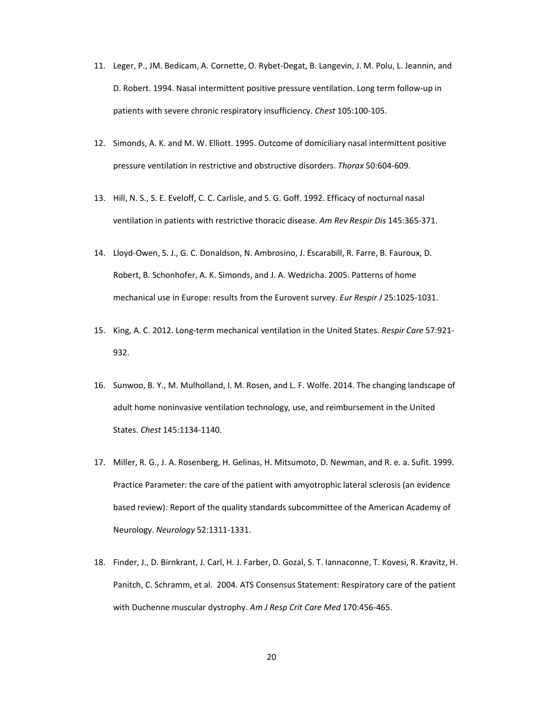- 11. Leger, P., JM. Bedicam, A. Cornette, O. Rybet-Degat, B. Langevin, J. M. Polu, L. Jeannin, and D. Robert. 1994. Nasal intermittent positive pressure ventilation. Long term follow-up in patients with severe chronic respiratory insufficiency. *Chest* 105:100-105.
- 12. Simonds, A. K. and M. W. Elliott. 1995. Outcome of domiciliary nasal intermittent positive pressure ventilation in restrictive and obstructive disorders. *Thorax* 50:604-609.
- 13. Hill, N. S., S. E. Eveloff, C. C. Carlisle, and S. G. Goff. 1992. Efficacy of nocturnal nasal ventilation in patients with restrictive thoracic disease. *Am Rev Respir Dis* 145:365-371.
- 14. Lloyd-Owen, S. J., G. C. Donaldson, N. Ambrosino, J. Escarabill, R. Farre, B. Fauroux, D. Robert, B. Schonhofer, A. K. Simonds, and J. A. Wedzicha. 2005. Patterns of home mechanical use in Europe: results from the Eurovent survey. *Eur Respir J* 25:1025-1031.
- 15. King, A. C. 2012. Long-term mechanical ventilation in the United States. *Respir Care* 57:921- 932.
- 16. Sunwoo, B. Y., M. Mulholland, I. M. Rosen, and L. F. Wolfe. 2014. The changing landscape of adult home noninvasive ventilation technology, use, and reimbursement in the United States. *Chest* 145:1134-1140.
- 17. Miller, R. G., J. A. Rosenberg, H. Gelinas, H. Mitsumoto, D. Newman, and R. e. a. Sufit. 1999. Practice Parameter: the care of the patient with amyotrophic lateral sclerosis (an evidence based review): Report of the quality standards subcommittee of the American Academy of Neurology. *Neurology* 52:1311-1331.
- 18. Finder, J., D. Birnkrant, J. Carl, H. J. Farber, D. Gozal, S. T. Iannaconne, T. Kovesi, R. Kravitz, H. Panitch, C. Schramm, et al. 2004. ATS Consensus Statement: Respiratory care of the patient with Duchenne muscular dystrophy. *Am J Resp Crit Care Med* 170:456-465.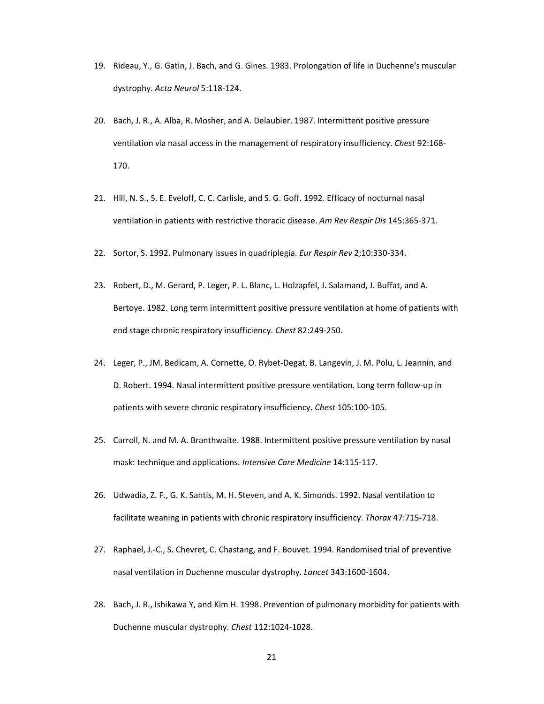- 19. Rideau, Y., G. Gatin, J. Bach, and G. Gines. 1983. Prolongation of life in Duchenne's muscular dystrophy. *Acta Neurol* 5:118-124.
- 20. Bach, J. R., A. Alba, R. Mosher, and A. Delaubier. 1987. Intermittent positive pressure ventilation via nasal access in the management of respiratory insufficiency. *Chest* 92:168- 170.
- 21. Hill, N. S., S. E. Eveloff, C. C. Carlisle, and S. G. Goff. 1992. Efficacy of nocturnal nasal ventilation in patients with restrictive thoracic disease. *Am Rev Respir Dis* 145:365-371.
- 22. Sortor, S. 1992. Pulmonary issues in quadriplegia. *Eur Respir Rev* 2;10:330-334.
- 23. Robert, D., M. Gerard, P. Leger, P. L. Blanc, L. Holzapfel, J. Salamand, J. Buffat, and A. Bertoye. 1982. Long term intermittent positive pressure ventilation at home of patients with end stage chronic respiratory insufficiency. *Chest* 82:249-250.
- 24. Leger, P., JM. Bedicam, A. Cornette, O. Rybet-Degat, B. Langevin, J. M. Polu, L. Jeannin, and D. Robert. 1994. Nasal intermittent positive pressure ventilation. Long term follow-up in patients with severe chronic respiratory insufficiency. *Chest* 105:100-105.
- 25. Carroll, N. and M. A. Branthwaite. 1988. Intermittent positive pressure ventilation by nasal mask: technique and applications. *Intensive Care Medicine* 14:115-117.
- 26. Udwadia, Z. F., G. K. Santis, M. H. Steven, and A. K. Simonds. 1992. Nasal ventilation to facilitate weaning in patients with chronic respiratory insufficiency. *Thorax* 47:715-718.
- 27. Raphael, J.-C., S. Chevret, C. Chastang, and F. Bouvet. 1994. Randomised trial of preventive nasal ventilation in Duchenne muscular dystrophy. *Lancet* 343:1600-1604.
- 28. Bach, J. R., Ishikawa Y, and Kim H. 1998. Prevention of pulmonary morbidity for patients with Duchenne muscular dystrophy. *Chest* 112:1024-1028.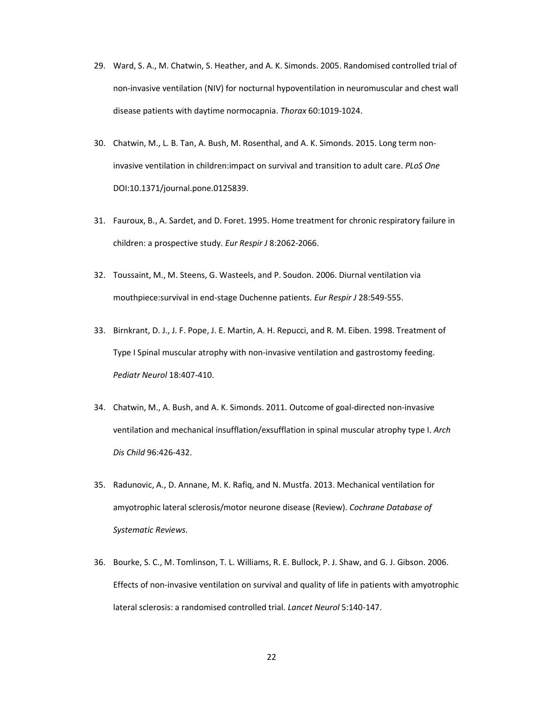- 29. Ward, S. A., M. Chatwin, S. Heather, and A. K. Simonds. 2005. Randomised controlled trial of non-invasive ventilation (NIV) for nocturnal hypoventilation in neuromuscular and chest wall disease patients with daytime normocapnia. *Thorax* 60:1019-1024.
- 30. Chatwin, M., L. B. Tan, A. Bush, M. Rosenthal, and A. K. Simonds. 2015. Long term noninvasive ventilation in children:impact on survival and transition to adult care. *PLoS One* DOI:10.1371/journal.pone.0125839.
- 31. Fauroux, B., A. Sardet, and D. Foret. 1995. Home treatment for chronic respiratory failure in children: a prospective study. *Eur Respir J* 8:2062-2066.
- 32. Toussaint, M., M. Steens, G. Wasteels, and P. Soudon. 2006. Diurnal ventilation via mouthpiece:survival in end-stage Duchenne patients. *Eur Respir J* 28:549-555.
- 33. Birnkrant, D. J., J. F. Pope, J. E. Martin, A. H. Repucci, and R. M. Eiben. 1998. Treatment of Type I Spinal muscular atrophy with non-invasive ventilation and gastrostomy feeding. *Pediatr Neurol* 18:407-410.
- 34. Chatwin, M., A. Bush, and A. K. Simonds. 2011. Outcome of goal-directed non-invasive ventilation and mechanical insufflation/exsufflation in spinal muscular atrophy type I. *Arch Dis Child* 96:426-432.
- 35. Radunovic, A., D. Annane, M. K. Rafiq, and N. Mustfa. 2013. Mechanical ventilation for amyotrophic lateral sclerosis/motor neurone disease (Review). *Cochrane Database of Systematic Reviews*.
- 36. Bourke, S. C., M. Tomlinson, T. L. Williams, R. E. Bullock, P. J. Shaw, and G. J. Gibson. 2006. Effects of non-invasive ventilation on survival and quality of life in patients with amyotrophic lateral sclerosis: a randomised controlled trial. *Lancet Neurol* 5:140-147.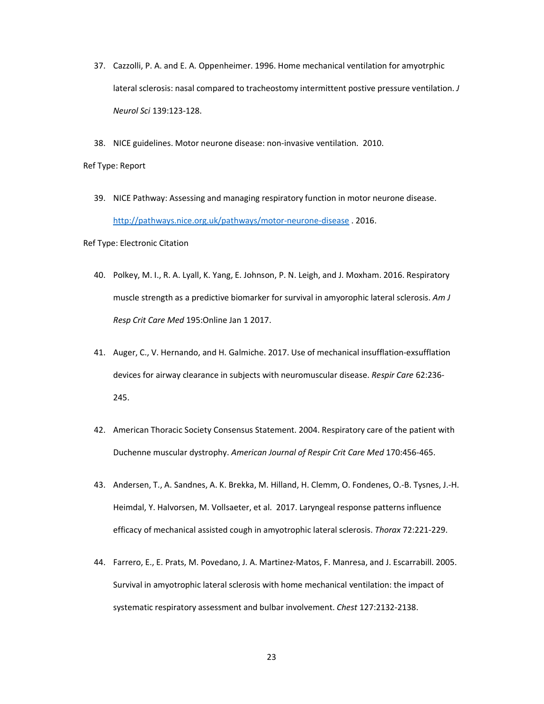- 37. Cazzolli, P. A. and E. A. Oppenheimer. 1996. Home mechanical ventilation for amyotrphic lateral sclerosis: nasal compared to tracheostomy intermittent postive pressure ventilation. *J Neurol Sci* 139:123-128.
- 38. NICE guidelines. Motor neurone disease: non-invasive ventilation. 2010.

Ref Type: Report

 39. NICE Pathway: Assessing and managing respiratory function in motor neurone disease. http://pathways.nice.org.uk/pathways/motor-neurone-disease . 2016.

Ref Type: Electronic Citation

- 40. Polkey, M. I., R. A. Lyall, K. Yang, E. Johnson, P. N. Leigh, and J. Moxham. 2016. Respiratory muscle strength as a predictive biomarker for survival in amyorophic lateral sclerosis. *Am J Resp Crit Care Med* 195:Online Jan 1 2017.
- 41. Auger, C., V. Hernando, and H. Galmiche. 2017. Use of mechanical insufflation-exsufflation devices for airway clearance in subjects with neuromuscular disease. *Respir Care* 62:236- 245.
- 42. American Thoracic Society Consensus Statement. 2004. Respiratory care of the patient with Duchenne muscular dystrophy. *American Journal of Respir Crit Care Med* 170:456-465.
- 43. Andersen, T., A. Sandnes, A. K. Brekka, M. Hilland, H. Clemm, O. Fondenes, O.-B. Tysnes, J.-H. Heimdal, Y. Halvorsen, M. Vollsaeter, et al. 2017. Laryngeal response patterns influence efficacy of mechanical assisted cough in amyotrophic lateral sclerosis. *Thorax* 72:221-229.
- 44. Farrero, E., E. Prats, M. Povedano, J. A. Martinez-Matos, F. Manresa, and J. Escarrabill. 2005. Survival in amyotrophic lateral sclerosis with home mechanical ventilation: the impact of systematic respiratory assessment and bulbar involvement. *Chest* 127:2132-2138.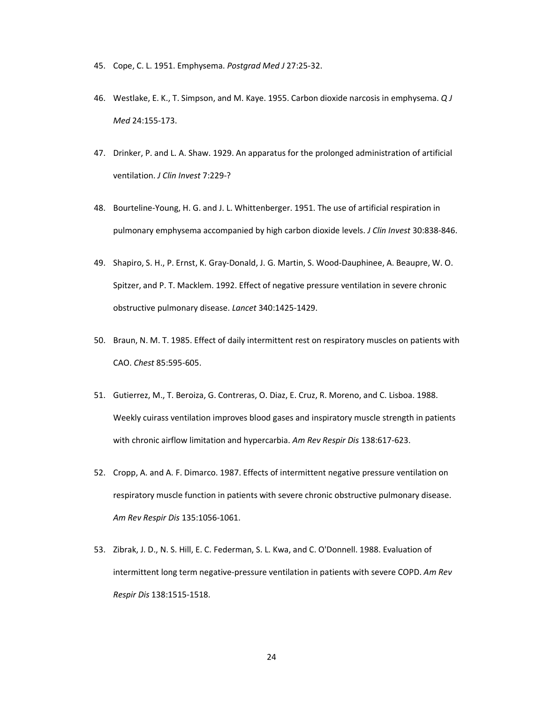- 45. Cope, C. L. 1951. Emphysema. *Postgrad Med J* 27:25-32.
- 46. Westlake, E. K., T. Simpson, and M. Kaye. 1955. Carbon dioxide narcosis in emphysema. *Q J Med* 24:155-173.
- 47. Drinker, P. and L. A. Shaw. 1929. An apparatus for the prolonged administration of artificial ventilation. *J Clin Invest* 7:229-?
- 48. Bourteline-Young, H. G. and J. L. Whittenberger. 1951. The use of artificial respiration in pulmonary emphysema accompanied by high carbon dioxide levels. *J Clin Invest* 30:838-846.
- 49. Shapiro, S. H., P. Ernst, K. Gray-Donald, J. G. Martin, S. Wood-Dauphinee, A. Beaupre, W. O. Spitzer, and P. T. Macklem. 1992. Effect of negative pressure ventilation in severe chronic obstructive pulmonary disease. *Lancet* 340:1425-1429.
- 50. Braun, N. M. T. 1985. Effect of daily intermittent rest on respiratory muscles on patients with CAO. *Chest* 85:595-605.
- 51. Gutierrez, M., T. Beroiza, G. Contreras, O. Diaz, E. Cruz, R. Moreno, and C. Lisboa. 1988. Weekly cuirass ventilation improves blood gases and inspiratory muscle strength in patients with chronic airflow limitation and hypercarbia. *Am Rev Respir Dis* 138:617-623.
- 52. Cropp, A. and A. F. Dimarco. 1987. Effects of intermittent negative pressure ventilation on respiratory muscle function in patients with severe chronic obstructive pulmonary disease. *Am Rev Respir Dis* 135:1056-1061.
- 53. Zibrak, J. D., N. S. Hill, E. C. Federman, S. L. Kwa, and C. O'Donnell. 1988. Evaluation of intermittent long term negative-pressure ventilation in patients with severe COPD. *Am Rev Respir Dis* 138:1515-1518.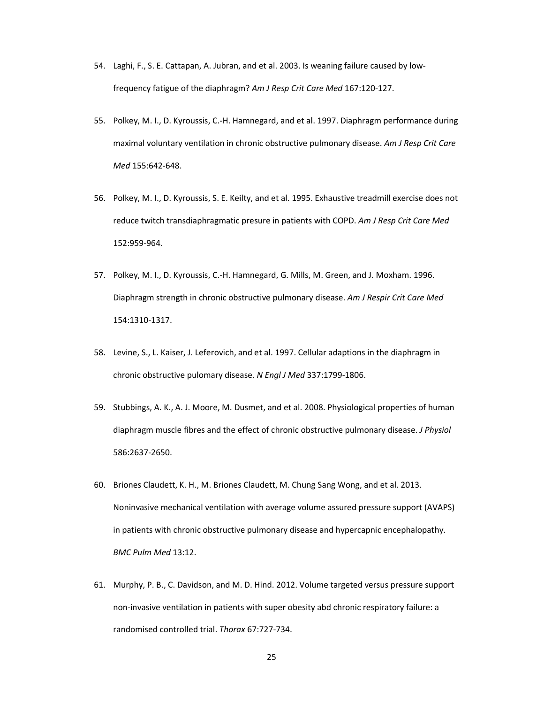- 54. Laghi, F., S. E. Cattapan, A. Jubran, and et al. 2003. Is weaning failure caused by lowfrequency fatigue of the diaphragm? *Am J Resp Crit Care Med* 167:120-127.
- 55. Polkey, M. I., D. Kyroussis, C.-H. Hamnegard, and et al. 1997. Diaphragm performance during maximal voluntary ventilation in chronic obstructive pulmonary disease. *Am J Resp Crit Care Med* 155:642-648.
- 56. Polkey, M. I., D. Kyroussis, S. E. Keilty, and et al. 1995. Exhaustive treadmill exercise does not reduce twitch transdiaphragmatic presure in patients with COPD. *Am J Resp Crit Care Med* 152:959-964.
- 57. Polkey, M. I., D. Kyroussis, C.-H. Hamnegard, G. Mills, M. Green, and J. Moxham. 1996. Diaphragm strength in chronic obstructive pulmonary disease. *Am J Respir Crit Care Med* 154:1310-1317.
- 58. Levine, S., L. Kaiser, J. Leferovich, and et al. 1997. Cellular adaptions in the diaphragm in chronic obstructive pulomary disease. *N Engl J Med* 337:1799-1806.
- 59. Stubbings, A. K., A. J. Moore, M. Dusmet, and et al. 2008. Physiological properties of human diaphragm muscle fibres and the effect of chronic obstructive pulmonary disease. *J Physiol* 586:2637-2650.
- 60. Briones Claudett, K. H., M. Briones Claudett, M. Chung Sang Wong, and et al. 2013. Noninvasive mechanical ventilation with average volume assured pressure support (AVAPS) in patients with chronic obstructive pulmonary disease and hypercapnic encephalopathy. *BMC Pulm Med* 13:12.
- 61. Murphy, P. B., C. Davidson, and M. D. Hind. 2012. Volume targeted versus pressure support non-invasive ventilation in patients with super obesity abd chronic respiratory failure: a randomised controlled trial. *Thorax* 67:727-734.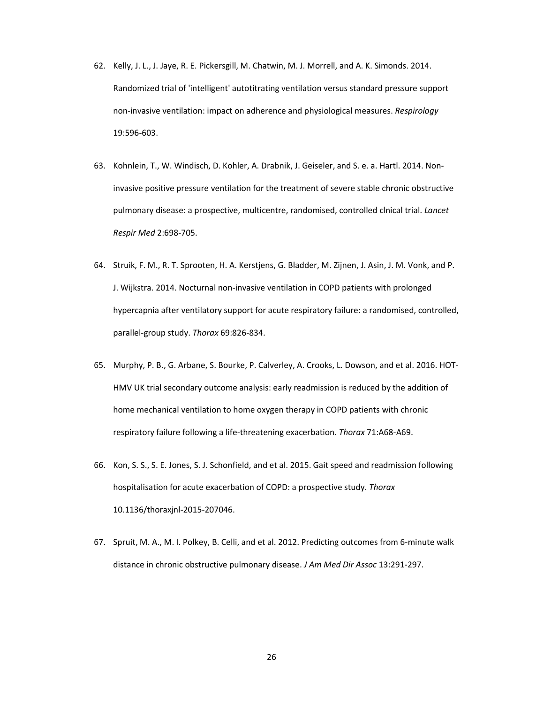- 62. Kelly, J. L., J. Jaye, R. E. Pickersgill, M. Chatwin, M. J. Morrell, and A. K. Simonds. 2014. Randomized trial of 'intelligent' autotitrating ventilation versus standard pressure support non-invasive ventilation: impact on adherence and physiological measures. *Respirology* 19:596-603.
- 63. Kohnlein, T., W. Windisch, D. Kohler, A. Drabnik, J. Geiseler, and S. e. a. Hartl. 2014. Noninvasive positive pressure ventilation for the treatment of severe stable chronic obstructive pulmonary disease: a prospective, multicentre, randomised, controlled clnical trial. *Lancet Respir Med* 2:698-705.
- 64. Struik, F. M., R. T. Sprooten, H. A. Kerstjens, G. Bladder, M. Zijnen, J. Asin, J. M. Vonk, and P. J. Wijkstra. 2014. Nocturnal non-invasive ventilation in COPD patients with prolonged hypercapnia after ventilatory support for acute respiratory failure: a randomised, controlled, parallel-group study. *Thorax* 69:826-834.
- 65. Murphy, P. B., G. Arbane, S. Bourke, P. Calverley, A. Crooks, L. Dowson, and et al. 2016. HOT-HMV UK trial secondary outcome analysis: early readmission is reduced by the addition of home mechanical ventilation to home oxygen therapy in COPD patients with chronic respiratory failure following a life-threatening exacerbation. *Thorax* 71:A68-A69.
- 66. Kon, S. S., S. E. Jones, S. J. Schonfield, and et al. 2015. Gait speed and readmission following hospitalisation for acute exacerbation of COPD: a prospective study. *Thorax* 10.1136/thoraxjnl-2015-207046.
- 67. Spruit, M. A., M. I. Polkey, B. Celli, and et al. 2012. Predicting outcomes from 6-minute walk distance in chronic obstructive pulmonary disease. *J Am Med Dir Assoc* 13:291-297.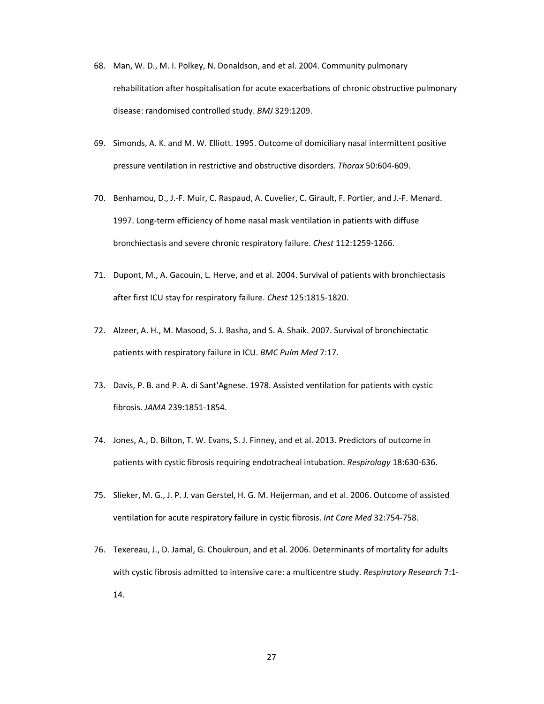- 68. Man, W. D., M. I. Polkey, N. Donaldson, and et al. 2004. Community pulmonary rehabilitation after hospitalisation for acute exacerbations of chronic obstructive pulmonary disease: randomised controlled study. *BMJ* 329:1209.
- 69. Simonds, A. K. and M. W. Elliott. 1995. Outcome of domiciliary nasal intermittent positive pressure ventilation in restrictive and obstructive disorders. *Thorax* 50:604-609.
- 70. Benhamou, D., J.-F. Muir, C. Raspaud, A. Cuvelier, C. Girault, F. Portier, and J.-F. Menard. 1997. Long-term efficiency of home nasal mask ventilation in patients with diffuse bronchiectasis and severe chronic respiratory failure. *Chest* 112:1259-1266.
- 71. Dupont, M., A. Gacouin, L. Herve, and et al. 2004. Survival of patients with bronchiectasis after first ICU stay for respiratory failure. *Chest* 125:1815-1820.
- 72. Alzeer, A. H., M. Masood, S. J. Basha, and S. A. Shaik. 2007. Survival of bronchiectatic patients with respiratory failure in ICU. *BMC Pulm Med* 7:17.
- 73. Davis, P. B. and P. A. di Sant'Agnese. 1978. Assisted ventilation for patients with cystic fibrosis. *JAMA* 239:1851-1854.
- 74. Jones, A., D. Bilton, T. W. Evans, S. J. Finney, and et al. 2013. Predictors of outcome in patients with cystic fibrosis requiring endotracheal intubation. *Respirology* 18:630-636.
- 75. Slieker, M. G., J. P. J. van Gerstel, H. G. M. Heijerman, and et al. 2006. Outcome of assisted ventilation for acute respiratory failure in cystic fibrosis. *Int Care Med* 32:754-758.
- 76. Texereau, J., D. Jamal, G. Choukroun, and et al. 2006. Determinants of mortality for adults with cystic fibrosis admitted to intensive care: a multicentre study. *Respiratory Research* 7:1- 14.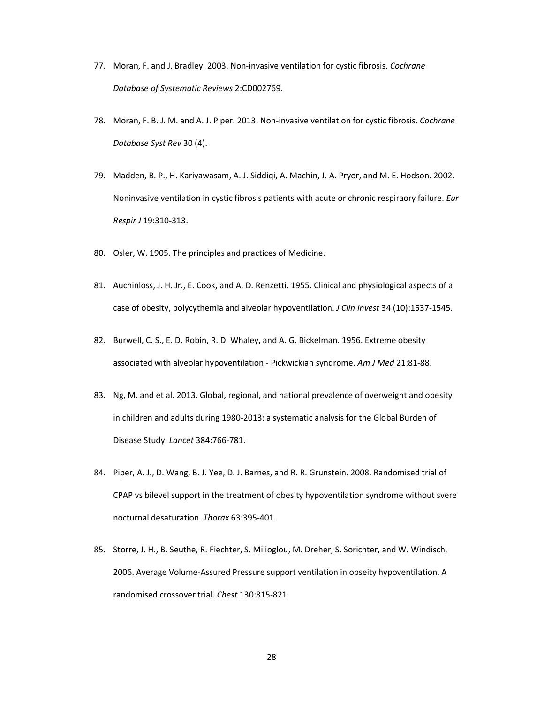- 77. Moran, F. and J. Bradley. 2003. Non-invasive ventilation for cystic fibrosis. *Cochrane Database of Systematic Reviews* 2:CD002769.
- 78. Moran, F. B. J. M. and A. J. Piper. 2013. Non-invasive ventilation for cystic fibrosis. *Cochrane Database Syst Rev* 30 (4).
- 79. Madden, B. P., H. Kariyawasam, A. J. Siddiqi, A. Machin, J. A. Pryor, and M. E. Hodson. 2002. Noninvasive ventilation in cystic fibrosis patients with acute or chronic respiraory failure. *Eur Respir J* 19:310-313.
- 80. Osler, W. 1905. The principles and practices of Medicine.
- 81. Auchinloss, J. H. Jr., E. Cook, and A. D. Renzetti. 1955. Clinical and physiological aspects of a case of obesity, polycythemia and alveolar hypoventilation. *J Clin Invest* 34 (10):1537-1545.
- 82. Burwell, C. S., E. D. Robin, R. D. Whaley, and A. G. Bickelman. 1956. Extreme obesity associated with alveolar hypoventilation - Pickwickian syndrome. *Am J Med* 21:81-88.
- 83. Ng, M. and et al. 2013. Global, regional, and national prevalence of overweight and obesity in children and adults during 1980-2013: a systematic analysis for the Global Burden of Disease Study. *Lancet* 384:766-781.
- 84. Piper, A. J., D. Wang, B. J. Yee, D. J. Barnes, and R. R. Grunstein. 2008. Randomised trial of CPAP vs bilevel support in the treatment of obesity hypoventilation syndrome without svere nocturnal desaturation. *Thorax* 63:395-401.
- 85. Storre, J. H., B. Seuthe, R. Fiechter, S. Milioglou, M. Dreher, S. Sorichter, and W. Windisch. 2006. Average Volume-Assured Pressure support ventilation in obseity hypoventilation. A randomised crossover trial. *Chest* 130:815-821.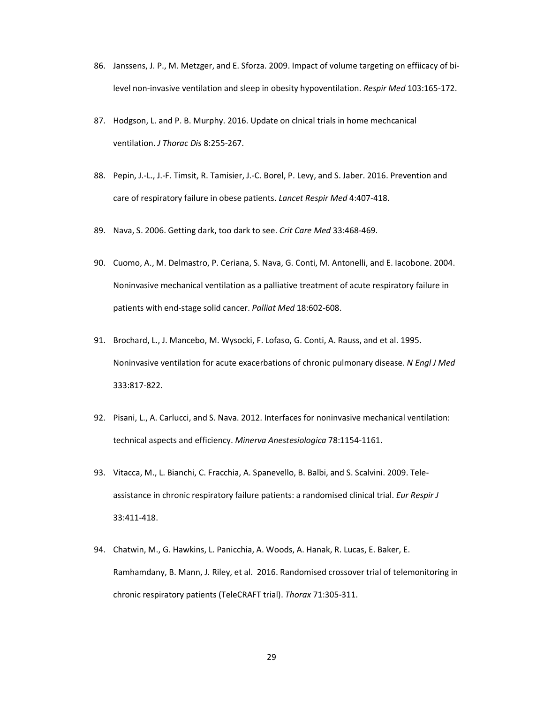- 86. Janssens, J. P., M. Metzger, and E. Sforza. 2009. Impact of volume targeting on effiicacy of bilevel non-invasive ventilation and sleep in obesity hypoventilation. *Respir Med* 103:165-172.
- 87. Hodgson, L. and P. B. Murphy. 2016. Update on clnical trials in home mechcanical ventilation. *J Thorac Dis* 8:255-267.
- 88. Pepin, J.-L., J.-F. Timsit, R. Tamisier, J.-C. Borel, P. Levy, and S. Jaber. 2016. Prevention and care of respiratory failure in obese patients. *Lancet Respir Med* 4:407-418.
- 89. Nava, S. 2006. Getting dark, too dark to see. *Crit Care Med* 33:468-469.
- 90. Cuomo, A., M. Delmastro, P. Ceriana, S. Nava, G. Conti, M. Antonelli, and E. Iacobone. 2004. Noninvasive mechanical ventilation as a palliative treatment of acute respiratory failure in patients with end-stage solid cancer. *Palliat Med* 18:602-608.
- 91. Brochard, L., J. Mancebo, M. Wysocki, F. Lofaso, G. Conti, A. Rauss, and et al. 1995. Noninvasive ventilation for acute exacerbations of chronic pulmonary disease. *N Engl J Med* 333:817-822.
- 92. Pisani, L., A. Carlucci, and S. Nava. 2012. Interfaces for noninvasive mechanical ventilation: technical aspects and efficiency. *Minerva Anestesiologica* 78:1154-1161.
- 93. Vitacca, M., L. Bianchi, C. Fracchia, A. Spanevello, B. Balbi, and S. Scalvini. 2009. Teleassistance in chronic respiratory failure patients: a randomised clinical trial. *Eur Respir J* 33:411-418.
- 94. Chatwin, M., G. Hawkins, L. Panicchia, A. Woods, A. Hanak, R. Lucas, E. Baker, E. Ramhamdany, B. Mann, J. Riley, et al. 2016. Randomised crossover trial of telemonitoring in chronic respiratory patients (TeleCRAFT trial). *Thorax* 71:305-311.